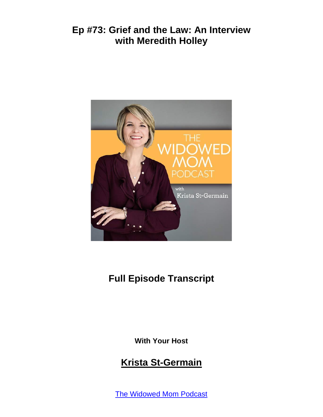

# **Full Episode Transcript**

**With Your Host**

### **Krista St-Germain**

The [Widowed](https://coachingwithkrista.com/podcast) Mom Podcast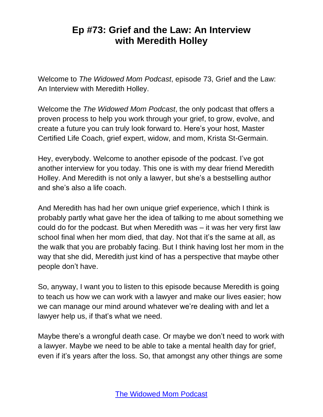Welcome to *The Widowed Mom Podcast*, episode 73, Grief and the Law: An Interview with Meredith Holley.

Welcome the *The Widowed Mom Podcast*, the only podcast that offers a proven process to help you work through your grief, to grow, evolve, and create a future you can truly look forward to. Here's your host, Master Certified Life Coach, grief expert, widow, and mom, Krista St-Germain.

Hey, everybody. Welcome to another episode of the podcast. I've got another interview for you today. This one is with my dear friend Meredith Holley. And Meredith is not only a lawyer, but she's a bestselling author and she's also a life coach.

And Meredith has had her own unique grief experience, which I think is probably partly what gave her the idea of talking to me about something we could do for the podcast. But when Meredith was – it was her very first law school final when her mom died, that day. Not that it's the same at all, as the walk that you are probably facing. But I think having lost her mom in the way that she did, Meredith just kind of has a perspective that maybe other people don't have.

So, anyway, I want you to listen to this episode because Meredith is going to teach us how we can work with a lawyer and make our lives easier; how we can manage our mind around whatever we're dealing with and let a lawyer help us, if that's what we need.

Maybe there's a wrongful death case. Or maybe we don't need to work with a lawyer. Maybe we need to be able to take a mental health day for grief, even if it's years after the loss. So, that amongst any other things are some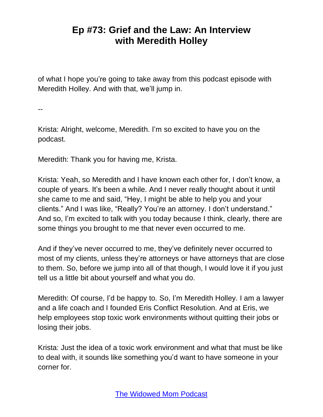of what I hope you're going to take away from this podcast episode with Meredith Holley. And with that, we'll jump in.

--

Krista: Alright, welcome, Meredith. I'm so excited to have you on the podcast.

Meredith: Thank you for having me, Krista.

Krista: Yeah, so Meredith and I have known each other for, I don't know, a couple of years. It's been a while. And I never really thought about it until she came to me and said, "Hey, I might be able to help you and your clients." And I was like, "Really? You're an attorney. I don't understand." And so, I'm excited to talk with you today because I think, clearly, there are some things you brought to me that never even occurred to me.

And if they've never occurred to me, they've definitely never occurred to most of my clients, unless they're attorneys or have attorneys that are close to them. So, before we jump into all of that though, I would love it if you just tell us a little bit about yourself and what you do.

Meredith: Of course, I'd be happy to. So, I'm Meredith Holley. I am a lawyer and a life coach and I founded Eris Conflict Resolution. And at Eris, we help employees stop toxic work environments without quitting their jobs or losing their jobs.

Krista: Just the idea of a toxic work environment and what that must be like to deal with, it sounds like something you'd want to have someone in your corner for.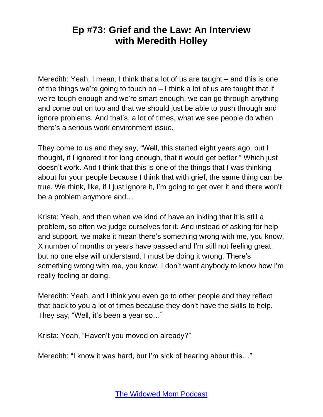Meredith: Yeah, I mean, I think that a lot of us are taught – and this is one of the things we're going to touch on – I think a lot of us are taught that if we're tough enough and we're smart enough, we can go through anything and come out on top and that we should just be able to push through and ignore problems. And that's, a lot of times, what we see people do when there's a serious work environment issue.

They come to us and they say, "Well, this started eight years ago, but I thought, if I ignored it for long enough, that it would get better." Which just doesn't work. And I think that this is one of the things that I was thinking about for your people because I think that with grief, the same thing can be true. We think, like, if I just ignore it, I'm going to get over it and there won't be a problem anymore and…

Krista: Yeah, and then when we kind of have an inkling that it is still a problem, so often we judge ourselves for it. And instead of asking for help and support, we make it mean there's something wrong with me, you know, X number of months or years have passed and I'm still not feeling great, but no one else will understand. I must be doing it wrong. There's something wrong with me, you know, I don't want anybody to know how I'm really feeling or doing.

Meredith: Yeah, and I think you even go to other people and they reflect that back to you a lot of times because they don't have the skills to help. They say, "Well, it's been a year so…"

Krista: Yeah, "Haven't you moved on already?"

Meredith: "I know it was hard, but I'm sick of hearing about this…"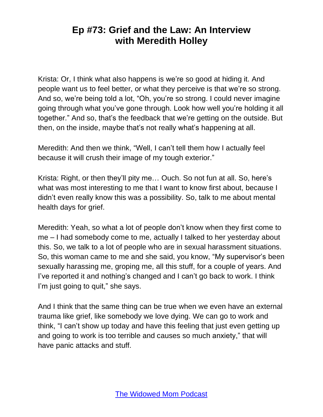Krista: Or, I think what also happens is we're so good at hiding it. And people want us to feel better, or what they perceive is that we're so strong. And so, we're being told a lot, "Oh, you're so strong. I could never imagine going through what you've gone through. Look how well you're holding it all together." And so, that's the feedback that we're getting on the outside. But then, on the inside, maybe that's not really what's happening at all.

Meredith: And then we think, "Well, I can't tell them how I actually feel because it will crush their image of my tough exterior."

Krista: Right, or then they'll pity me… Ouch. So not fun at all. So, here's what was most interesting to me that I want to know first about, because I didn't even really know this was a possibility. So, talk to me about mental health days for grief.

Meredith: Yeah, so what a lot of people don't know when they first come to me – I had somebody come to me, actually I talked to her yesterday about this. So, we talk to a lot of people who are in sexual harassment situations. So, this woman came to me and she said, you know, "My supervisor's been sexually harassing me, groping me, all this stuff, for a couple of years. And I've reported it and nothing's changed and I can't go back to work. I think I'm just going to quit," she says.

And I think that the same thing can be true when we even have an external trauma like grief, like somebody we love dying. We can go to work and think, "I can't show up today and have this feeling that just even getting up and going to work is too terrible and causes so much anxiety," that will have panic attacks and stuff.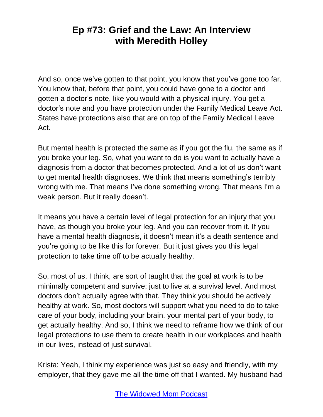And so, once we've gotten to that point, you know that you've gone too far. You know that, before that point, you could have gone to a doctor and gotten a doctor's note, like you would with a physical injury. You get a doctor's note and you have protection under the Family Medical Leave Act. States have protections also that are on top of the Family Medical Leave Act.

But mental health is protected the same as if you got the flu, the same as if you broke your leg. So, what you want to do is you want to actually have a diagnosis from a doctor that becomes protected. And a lot of us don't want to get mental health diagnoses. We think that means something's terribly wrong with me. That means I've done something wrong. That means I'm a weak person. But it really doesn't.

It means you have a certain level of legal protection for an injury that you have, as though you broke your leg. And you can recover from it. If you have a mental health diagnosis, it doesn't mean it's a death sentence and you're going to be like this for forever. But it just gives you this legal protection to take time off to be actually healthy.

So, most of us, I think, are sort of taught that the goal at work is to be minimally competent and survive; just to live at a survival level. And most doctors don't actually agree with that. They think you should be actively healthy at work. So, most doctors will support what you need to do to take care of your body, including your brain, your mental part of your body, to get actually healthy. And so, I think we need to reframe how we think of our legal protections to use them to create health in our workplaces and health in our lives, instead of just survival.

Krista: Yeah, I think my experience was just so easy and friendly, with my employer, that they gave me all the time off that I wanted. My husband had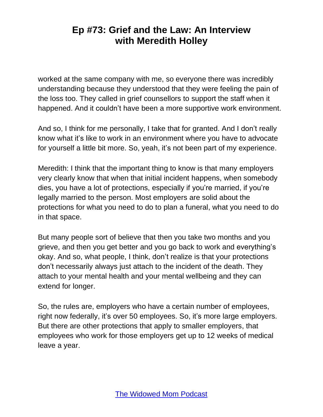worked at the same company with me, so everyone there was incredibly understanding because they understood that they were feeling the pain of the loss too. They called in grief counsellors to support the staff when it happened. And it couldn't have been a more supportive work environment.

And so, I think for me personally, I take that for granted. And I don't really know what it's like to work in an environment where you have to advocate for yourself a little bit more. So, yeah, it's not been part of my experience.

Meredith: I think that the important thing to know is that many employers very clearly know that when that initial incident happens, when somebody dies, you have a lot of protections, especially if you're married, if you're legally married to the person. Most employers are solid about the protections for what you need to do to plan a funeral, what you need to do in that space.

But many people sort of believe that then you take two months and you grieve, and then you get better and you go back to work and everything's okay. And so, what people, I think, don't realize is that your protections don't necessarily always just attach to the incident of the death. They attach to your mental health and your mental wellbeing and they can extend for longer.

So, the rules are, employers who have a certain number of employees, right now federally, it's over 50 employees. So, it's more large employers. But there are other protections that apply to smaller employers, that employees who work for those employers get up to 12 weeks of medical leave a year.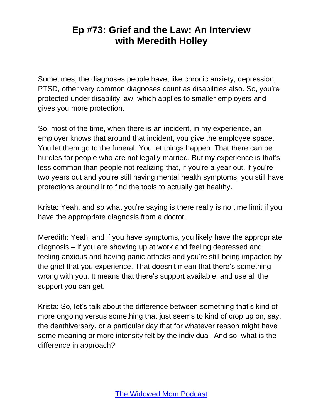Sometimes, the diagnoses people have, like chronic anxiety, depression, PTSD, other very common diagnoses count as disabilities also. So, you're protected under disability law, which applies to smaller employers and gives you more protection.

So, most of the time, when there is an incident, in my experience, an employer knows that around that incident, you give the employee space. You let them go to the funeral. You let things happen. That there can be hurdles for people who are not legally married. But my experience is that's less common than people not realizing that, if you're a year out, if you're two years out and you're still having mental health symptoms, you still have protections around it to find the tools to actually get healthy.

Krista: Yeah, and so what you're saying is there really is no time limit if you have the appropriate diagnosis from a doctor.

Meredith: Yeah, and if you have symptoms, you likely have the appropriate diagnosis – if you are showing up at work and feeling depressed and feeling anxious and having panic attacks and you're still being impacted by the grief that you experience. That doesn't mean that there's something wrong with you. It means that there's support available, and use all the support you can get.

Krista: So, let's talk about the difference between something that's kind of more ongoing versus something that just seems to kind of crop up on, say, the deathiversary, or a particular day that for whatever reason might have some meaning or more intensity felt by the individual. And so, what is the difference in approach?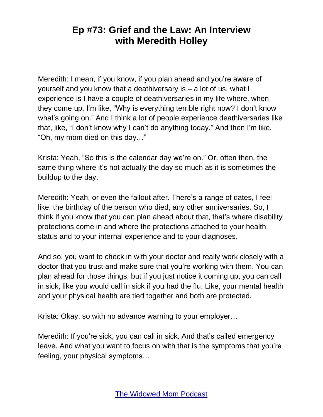Meredith: I mean, if you know, if you plan ahead and you're aware of yourself and you know that a deathiversary is – a lot of us, what I experience is I have a couple of deathiversaries in my life where, when they come up, I'm like, "Why is everything terrible right now? I don't know what's going on." And I think a lot of people experience deathiversaries like that, like, "I don't know why I can't do anything today." And then I'm like, "Oh, my mom died on this day…"

Krista: Yeah, "So this is the calendar day we're on." Or, often then, the same thing where it's not actually the day so much as it is sometimes the buildup to the day.

Meredith: Yeah, or even the fallout after. There's a range of dates, I feel like, the birthday of the person who died, any other anniversaries. So, I think if you know that you can plan ahead about that, that's where disability protections come in and where the protections attached to your health status and to your internal experience and to your diagnoses.

And so, you want to check in with your doctor and really work closely with a doctor that you trust and make sure that you're working with them. You can plan ahead for those things, but if you just notice it coming up, you can call in sick, like you would call in sick if you had the flu. Like, your mental health and your physical health are tied together and both are protected.

Krista: Okay, so with no advance warning to your employer…

Meredith: If you're sick, you can call in sick. And that's called emergency leave. And what you want to focus on with that is the symptoms that you're feeling, your physical symptoms…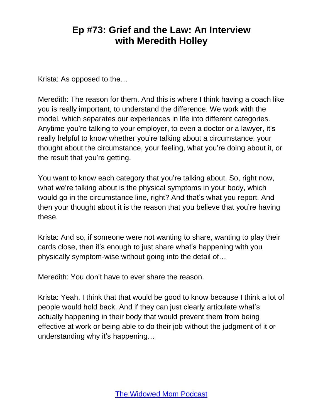Krista: As opposed to the…

Meredith: The reason for them. And this is where I think having a coach like you is really important, to understand the difference. We work with the model, which separates our experiences in life into different categories. Anytime you're talking to your employer, to even a doctor or a lawyer, it's really helpful to know whether you're talking about a circumstance, your thought about the circumstance, your feeling, what you're doing about it, or the result that you're getting.

You want to know each category that you're talking about. So, right now, what we're talking about is the physical symptoms in your body, which would go in the circumstance line, right? And that's what you report. And then your thought about it is the reason that you believe that you're having these.

Krista: And so, if someone were not wanting to share, wanting to play their cards close, then it's enough to just share what's happening with you physically symptom-wise without going into the detail of…

Meredith: You don't have to ever share the reason.

Krista: Yeah, I think that that would be good to know because I think a lot of people would hold back. And if they can just clearly articulate what's actually happening in their body that would prevent them from being effective at work or being able to do their job without the judgment of it or understanding why it's happening…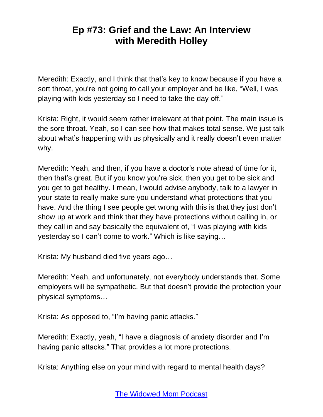Meredith: Exactly, and I think that that's key to know because if you have a sort throat, you're not going to call your employer and be like, "Well, I was playing with kids yesterday so I need to take the day off."

Krista: Right, it would seem rather irrelevant at that point. The main issue is the sore throat. Yeah, so I can see how that makes total sense. We just talk about what's happening with us physically and it really doesn't even matter why.

Meredith: Yeah, and then, if you have a doctor's note ahead of time for it, then that's great. But if you know you're sick, then you get to be sick and you get to get healthy. I mean, I would advise anybody, talk to a lawyer in your state to really make sure you understand what protections that you have. And the thing I see people get wrong with this is that they just don't show up at work and think that they have protections without calling in, or they call in and say basically the equivalent of, "I was playing with kids yesterday so I can't come to work." Which is like saying…

Krista: My husband died five years ago…

Meredith: Yeah, and unfortunately, not everybody understands that. Some employers will be sympathetic. But that doesn't provide the protection your physical symptoms…

Krista: As opposed to, "I'm having panic attacks."

Meredith: Exactly, yeah, "I have a diagnosis of anxiety disorder and I'm having panic attacks." That provides a lot more protections.

Krista: Anything else on your mind with regard to mental health days?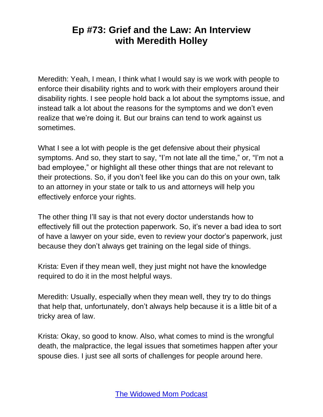Meredith: Yeah, I mean, I think what I would say is we work with people to enforce their disability rights and to work with their employers around their disability rights. I see people hold back a lot about the symptoms issue, and instead talk a lot about the reasons for the symptoms and we don't even realize that we're doing it. But our brains can tend to work against us sometimes.

What I see a lot with people is the get defensive about their physical symptoms. And so, they start to say, "I'm not late all the time," or, "I'm not a bad employee," or highlight all these other things that are not relevant to their protections. So, if you don't feel like you can do this on your own, talk to an attorney in your state or talk to us and attorneys will help you effectively enforce your rights.

The other thing I'll say is that not every doctor understands how to effectively fill out the protection paperwork. So, it's never a bad idea to sort of have a lawyer on your side, even to review your doctor's paperwork, just because they don't always get training on the legal side of things.

Krista: Even if they mean well, they just might not have the knowledge required to do it in the most helpful ways.

Meredith: Usually, especially when they mean well, they try to do things that help that, unfortunately, don't always help because it is a little bit of a tricky area of law.

Krista: Okay, so good to know. Also, what comes to mind is the wrongful death, the malpractice, the legal issues that sometimes happen after your spouse dies. I just see all sorts of challenges for people around here.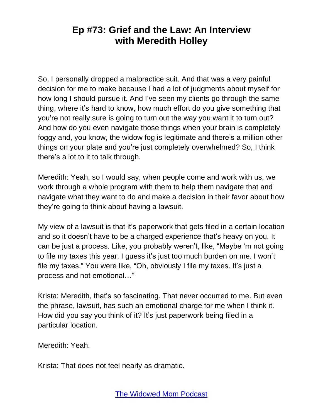So, I personally dropped a malpractice suit. And that was a very painful decision for me to make because I had a lot of judgments about myself for how long I should pursue it. And I've seen my clients go through the same thing, where it's hard to know, how much effort do you give something that you're not really sure is going to turn out the way you want it to turn out? And how do you even navigate those things when your brain is completely foggy and, you know, the widow fog is legitimate and there's a million other things on your plate and you're just completely overwhelmed? So, I think there's a lot to it to talk through.

Meredith: Yeah, so I would say, when people come and work with us, we work through a whole program with them to help them navigate that and navigate what they want to do and make a decision in their favor about how they're going to think about having a lawsuit.

My view of a lawsuit is that it's paperwork that gets filed in a certain location and so it doesn't have to be a charged experience that's heavy on you. It can be just a process. Like, you probably weren't, like, "Maybe 'm not going to file my taxes this year. I guess it's just too much burden on me. I won't file my taxes." You were like, "Oh, obviously I file my taxes. It's just a process and not emotional…"

Krista: Meredith, that's so fascinating. That never occurred to me. But even the phrase, lawsuit, has such an emotional charge for me when I think it. How did you say you think of it? It's just paperwork being filed in a particular location.

Meredith: Yeah.

Krista: That does not feel nearly as dramatic.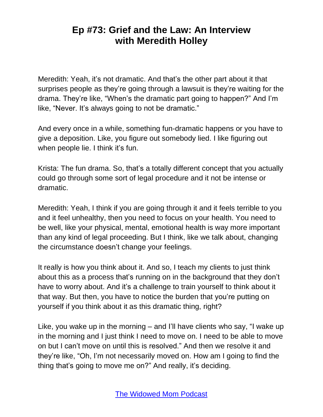Meredith: Yeah, it's not dramatic. And that's the other part about it that surprises people as they're going through a lawsuit is they're waiting for the drama. They're like, "When's the dramatic part going to happen?" And I'm like, "Never. It's always going to not be dramatic."

And every once in a while, something fun-dramatic happens or you have to give a deposition. Like, you figure out somebody lied. I like figuring out when people lie. I think it's fun.

Krista: The fun drama. So, that's a totally different concept that you actually could go through some sort of legal procedure and it not be intense or dramatic.

Meredith: Yeah, I think if you are going through it and it feels terrible to you and it feel unhealthy, then you need to focus on your health. You need to be well, like your physical, mental, emotional health is way more important than any kind of legal proceeding. But I think, like we talk about, changing the circumstance doesn't change your feelings.

It really is how you think about it. And so, I teach my clients to just think about this as a process that's running on in the background that they don't have to worry about. And it's a challenge to train yourself to think about it that way. But then, you have to notice the burden that you're putting on yourself if you think about it as this dramatic thing, right?

Like, you wake up in the morning – and I'll have clients who say, "I wake up in the morning and I just think I need to move on. I need to be able to move on but I can't move on until this is resolved." And then we resolve it and they're like, "Oh, I'm not necessarily moved on. How am I going to find the thing that's going to move me on?" And really, it's deciding.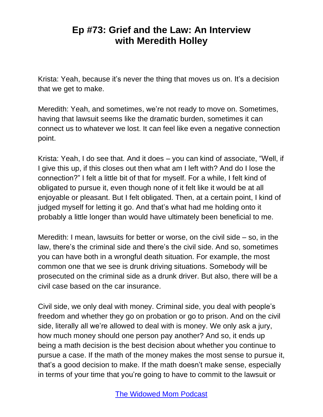Krista: Yeah, because it's never the thing that moves us on. It's a decision that we get to make.

Meredith: Yeah, and sometimes, we're not ready to move on. Sometimes, having that lawsuit seems like the dramatic burden, sometimes it can connect us to whatever we lost. It can feel like even a negative connection point.

Krista: Yeah, I do see that. And it does – you can kind of associate, "Well, if I give this up, if this closes out then what am I left with? And do I lose the connection?" I felt a little bit of that for myself. For a while, I felt kind of obligated to pursue it, even though none of it felt like it would be at all enjoyable or pleasant. But I felt obligated. Then, at a certain point, I kind of judged myself for letting it go. And that's what had me holding onto it probably a little longer than would have ultimately been beneficial to me.

Meredith: I mean, lawsuits for better or worse, on the civil side – so, in the law, there's the criminal side and there's the civil side. And so, sometimes you can have both in a wrongful death situation. For example, the most common one that we see is drunk driving situations. Somebody will be prosecuted on the criminal side as a drunk driver. But also, there will be a civil case based on the car insurance.

Civil side, we only deal with money. Criminal side, you deal with people's freedom and whether they go on probation or go to prison. And on the civil side, literally all we're allowed to deal with is money. We only ask a jury, how much money should one person pay another? And so, it ends up being a math decision is the best decision about whether you continue to pursue a case. If the math of the money makes the most sense to pursue it, that's a good decision to make. If the math doesn't make sense, especially in terms of your time that you're going to have to commit to the lawsuit or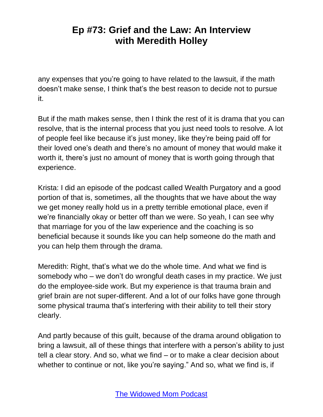any expenses that you're going to have related to the lawsuit, if the math doesn't make sense, I think that's the best reason to decide not to pursue it.

But if the math makes sense, then I think the rest of it is drama that you can resolve, that is the internal process that you just need tools to resolve. A lot of people feel like because it's just money, like they're being paid off for their loved one's death and there's no amount of money that would make it worth it, there's just no amount of money that is worth going through that experience.

Krista: I did an episode of the podcast called Wealth Purgatory and a good portion of that is, sometimes, all the thoughts that we have about the way we get money really hold us in a pretty terrible emotional place, even if we're financially okay or better off than we were. So yeah, I can see why that marriage for you of the law experience and the coaching is so beneficial because it sounds like you can help someone do the math and you can help them through the drama.

Meredith: Right, that's what we do the whole time. And what we find is somebody who – we don't do wrongful death cases in my practice. We just do the employee-side work. But my experience is that trauma brain and grief brain are not super-different. And a lot of our folks have gone through some physical trauma that's interfering with their ability to tell their story clearly.

And partly because of this guilt, because of the drama around obligation to bring a lawsuit, all of these things that interfere with a person's ability to just tell a clear story. And so, what we find – or to make a clear decision about whether to continue or not, like you're saying." And so, what we find is, if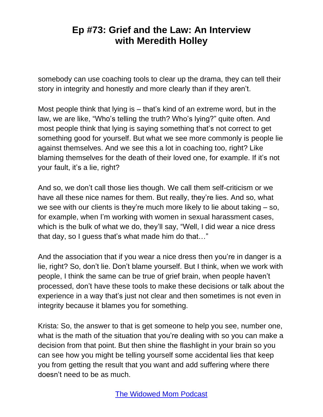somebody can use coaching tools to clear up the drama, they can tell their story in integrity and honestly and more clearly than if they aren't.

Most people think that lying is – that's kind of an extreme word, but in the law, we are like, "Who's telling the truth? Who's lying?" quite often. And most people think that lying is saying something that's not correct to get something good for yourself. But what we see more commonly is people lie against themselves. And we see this a lot in coaching too, right? Like blaming themselves for the death of their loved one, for example. If it's not your fault, it's a lie, right?

And so, we don't call those lies though. We call them self-criticism or we have all these nice names for them. But really, they're lies. And so, what we see with our clients is they're much more likely to lie about taking – so, for example, when I'm working with women in sexual harassment cases, which is the bulk of what we do, they'll say, "Well, I did wear a nice dress that day, so I guess that's what made him do that…"

And the association that if you wear a nice dress then you're in danger is a lie, right? So, don't lie. Don't blame yourself. But I think, when we work with people, I think the same can be true of grief brain, when people haven't processed, don't have these tools to make these decisions or talk about the experience in a way that's just not clear and then sometimes is not even in integrity because it blames you for something.

Krista: So, the answer to that is get someone to help you see, number one, what is the math of the situation that you're dealing with so you can make a decision from that point. But then shine the flashlight in your brain so you can see how you might be telling yourself some accidental lies that keep you from getting the result that you want and add suffering where there doesn't need to be as much.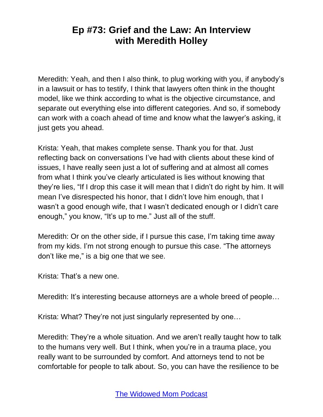Meredith: Yeah, and then I also think, to plug working with you, if anybody's in a lawsuit or has to testify, I think that lawyers often think in the thought model, like we think according to what is the objective circumstance, and separate out everything else into different categories. And so, if somebody can work with a coach ahead of time and know what the lawyer's asking, it just gets you ahead.

Krista: Yeah, that makes complete sense. Thank you for that. Just reflecting back on conversations I've had with clients about these kind of issues, I have really seen just a lot of suffering and at almost all comes from what I think you've clearly articulated is lies without knowing that they're lies, "If I drop this case it will mean that I didn't do right by him. It will mean I've disrespected his honor, that I didn't love him enough, that I wasn't a good enough wife, that I wasn't dedicated enough or I didn't care enough," you know, "It's up to me." Just all of the stuff.

Meredith: Or on the other side, if I pursue this case, I'm taking time away from my kids. I'm not strong enough to pursue this case. "The attorneys don't like me," is a big one that we see.

Krista: That's a new one.

Meredith: It's interesting because attorneys are a whole breed of people…

Krista: What? They're not just singularly represented by one…

Meredith: They're a whole situation. And we aren't really taught how to talk to the humans very well. But I think, when you're in a trauma place, you really want to be surrounded by comfort. And attorneys tend to not be comfortable for people to talk about. So, you can have the resilience to be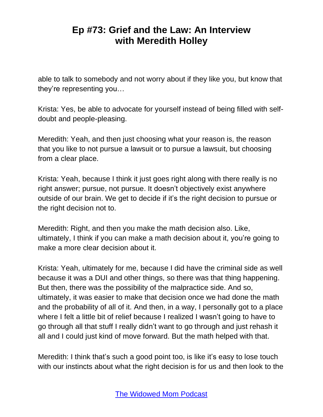able to talk to somebody and not worry about if they like you, but know that they're representing you…

Krista: Yes, be able to advocate for yourself instead of being filled with selfdoubt and people-pleasing.

Meredith: Yeah, and then just choosing what your reason is, the reason that you like to not pursue a lawsuit or to pursue a lawsuit, but choosing from a clear place.

Krista: Yeah, because I think it just goes right along with there really is no right answer; pursue, not pursue. It doesn't objectively exist anywhere outside of our brain. We get to decide if it's the right decision to pursue or the right decision not to.

Meredith: Right, and then you make the math decision also. Like, ultimately, I think if you can make a math decision about it, you're going to make a more clear decision about it.

Krista: Yeah, ultimately for me, because I did have the criminal side as well because it was a DUI and other things, so there was that thing happening. But then, there was the possibility of the malpractice side. And so, ultimately, it was easier to make that decision once we had done the math and the probability of all of it. And then, in a way, I personally got to a place where I felt a little bit of relief because I realized I wasn't going to have to go through all that stuff I really didn't want to go through and just rehash it all and I could just kind of move forward. But the math helped with that.

Meredith: I think that's such a good point too, is like it's easy to lose touch with our instincts about what the right decision is for us and then look to the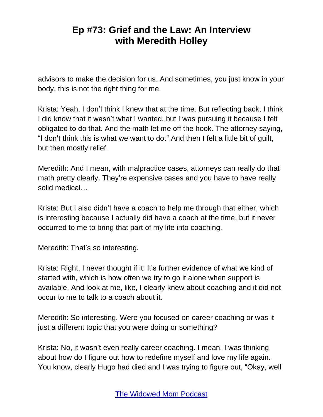advisors to make the decision for us. And sometimes, you just know in your body, this is not the right thing for me.

Krista: Yeah, I don't think I knew that at the time. But reflecting back, I think I did know that it wasn't what I wanted, but I was pursuing it because I felt obligated to do that. And the math let me off the hook. The attorney saying, "I don't think this is what we want to do." And then I felt a little bit of guilt, but then mostly relief.

Meredith: And I mean, with malpractice cases, attorneys can really do that math pretty clearly. They're expensive cases and you have to have really solid medical…

Krista: But I also didn't have a coach to help me through that either, which is interesting because I actually did have a coach at the time, but it never occurred to me to bring that part of my life into coaching.

Meredith: That's so interesting.

Krista: Right, I never thought if it. It's further evidence of what we kind of started with, which is how often we try to go it alone when support is available. And look at me, like, I clearly knew about coaching and it did not occur to me to talk to a coach about it.

Meredith: So interesting. Were you focused on career coaching or was it just a different topic that you were doing or something?

Krista: No, it wasn't even really career coaching. I mean, I was thinking about how do I figure out how to redefine myself and love my life again. You know, clearly Hugo had died and I was trying to figure out, "Okay, well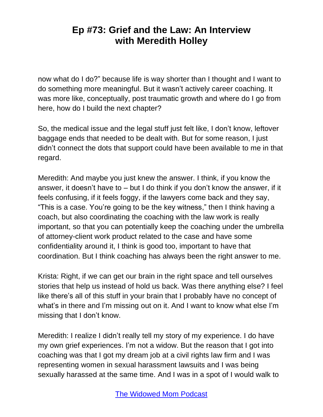now what do I do?" because life is way shorter than I thought and I want to do something more meaningful. But it wasn't actively career coaching. It was more like, conceptually, post traumatic growth and where do I go from here, how do I build the next chapter?

So, the medical issue and the legal stuff just felt like, I don't know, leftover baggage ends that needed to be dealt with. But for some reason, I just didn't connect the dots that support could have been available to me in that regard.

Meredith: And maybe you just knew the answer. I think, if you know the answer, it doesn't have to – but I do think if you don't know the answer, if it feels confusing, if it feels foggy, if the lawyers come back and they say, "This is a case. You're going to be the key witness," then I think having a coach, but also coordinating the coaching with the law work is really important, so that you can potentially keep the coaching under the umbrella of attorney-client work product related to the case and have some confidentiality around it, I think is good too, important to have that coordination. But I think coaching has always been the right answer to me.

Krista: Right, if we can get our brain in the right space and tell ourselves stories that help us instead of hold us back. Was there anything else? I feel like there's all of this stuff in your brain that I probably have no concept of what's in there and I'm missing out on it. And I want to know what else I'm missing that I don't know.

Meredith: I realize I didn't really tell my story of my experience. I do have my own grief experiences. I'm not a widow. But the reason that I got into coaching was that I got my dream job at a civil rights law firm and I was representing women in sexual harassment lawsuits and I was being sexually harassed at the same time. And I was in a spot of I would walk to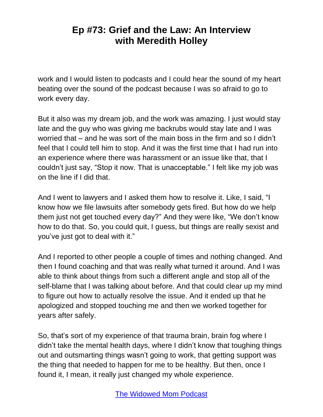work and I would listen to podcasts and I could hear the sound of my heart beating over the sound of the podcast because I was so afraid to go to work every day.

But it also was my dream job, and the work was amazing. I just would stay late and the guy who was giving me backrubs would stay late and I was worried that – and he was sort of the main boss in the firm and so I didn't feel that I could tell him to stop. And it was the first time that I had run into an experience where there was harassment or an issue like that, that I couldn't just say, "Stop it now. That is unacceptable." I felt like my job was on the line if I did that.

And I went to lawyers and I asked them how to resolve it. Like, I said, "I know how we file lawsuits after somebody gets fired. But how do we help them just not get touched every day?" And they were like, "We don't know how to do that. So, you could quit, I guess, but things are really sexist and you've just got to deal with it."

And I reported to other people a couple of times and nothing changed. And then I found coaching and that was really what turned it around. And I was able to think about things from such a different angle and stop all of the self-blame that I was talking about before. And that could clear up my mind to figure out how to actually resolve the issue. And it ended up that he apologized and stopped touching me and then we worked together for years after safely.

So, that's sort of my experience of that trauma brain, brain fog where I didn't take the mental health days, where I didn't know that toughing things out and outsmarting things wasn't going to work, that getting support was the thing that needed to happen for me to be healthy. But then, once I found it, I mean, it really just changed my whole experience.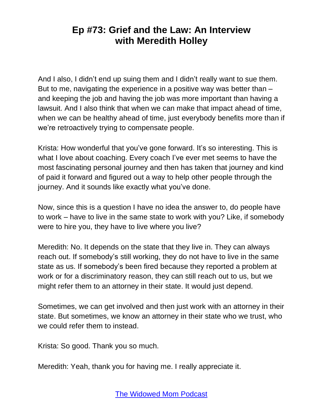And I also, I didn't end up suing them and I didn't really want to sue them. But to me, navigating the experience in a positive way was better than – and keeping the job and having the job was more important than having a lawsuit. And I also think that when we can make that impact ahead of time, when we can be healthy ahead of time, just everybody benefits more than if we're retroactively trying to compensate people.

Krista: How wonderful that you've gone forward. It's so interesting. This is what I love about coaching. Every coach I've ever met seems to have the most fascinating personal journey and then has taken that journey and kind of paid it forward and figured out a way to help other people through the journey. And it sounds like exactly what you've done.

Now, since this is a question I have no idea the answer to, do people have to work – have to live in the same state to work with you? Like, if somebody were to hire you, they have to live where you live?

Meredith: No. It depends on the state that they live in. They can always reach out. If somebody's still working, they do not have to live in the same state as us. If somebody's been fired because they reported a problem at work or for a discriminatory reason, they can still reach out to us, but we might refer them to an attorney in their state. It would just depend.

Sometimes, we can get involved and then just work with an attorney in their state. But sometimes, we know an attorney in their state who we trust, who we could refer them to instead.

Krista: So good. Thank you so much.

Meredith: Yeah, thank you for having me. I really appreciate it.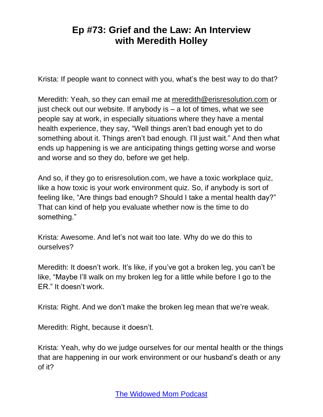Krista: If people want to connect with you, what's the best way to do that?

Meredith: Yeah, so they can email me at [meredith@erisresolution.com](mailto:meredith@erisresolution.com) or just check out our website. If anybody is  $-$  a lot of times, what we see people say at work, in especially situations where they have a mental health experience, they say, "Well things aren't bad enough yet to do something about it. Things aren't bad enough. I'll just wait." And then what ends up happening is we are anticipating things getting worse and worse and worse and so they do, before we get help.

And so, if they go to erisresolution.com, we have a toxic workplace quiz, like a how toxic is your work environment quiz. So, if anybody is sort of feeling like, "Are things bad enough? Should I take a mental health day?" That can kind of help you evaluate whether now is the time to do something."

Krista: Awesome. And let's not wait too late. Why do we do this to ourselves?

Meredith: It doesn't work. It's like, if you've got a broken leg, you can't be like, "Maybe I'll walk on my broken leg for a little while before I go to the ER." It doesn't work.

Krista: Right. And we don't make the broken leg mean that we're weak.

Meredith: Right, because it doesn't.

Krista: Yeah, why do we judge ourselves for our mental health or the things that are happening in our work environment or our husband's death or any of it?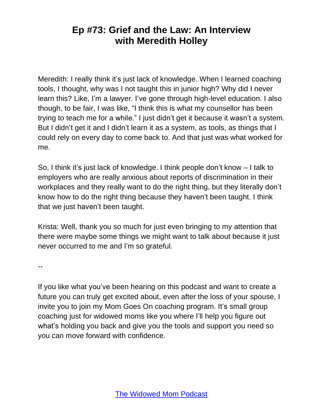Meredith: I really think it's just lack of knowledge. When I learned coaching tools, I thought, why was I not taught this in junior high? Why did I never learn this? Like, I'm a lawyer. I've gone through high-level education. I also though, to be fair, I was like, "I think this is what my counsellor has been trying to teach me for a while." I just didn't get it because it wasn't a system. But I didn't get it and I didn't learn it as a system, as tools, as things that I could rely on every day to come back to. And that just was what worked for me.

So, I think it's just lack of knowledge. I think people don't know – I talk to employers who are really anxious about reports of discrimination in their workplaces and they really want to do the right thing, but they literally don't know how to do the right thing because they haven't been taught. I think that we just haven't been taught.

Krista: Well, thank you so much for just even bringing to my attention that there were maybe some things we might want to talk about because it just never occurred to me and I'm so grateful.

--

If you like what you've been hearing on this podcast and want to create a future you can truly get excited about, even after the loss of your spouse, I invite you to join my Mom Goes On coaching program. It's small group coaching just for widowed moms like you where I'll help you figure out what's holding you back and give you the tools and support you need so you can move forward with confidence.